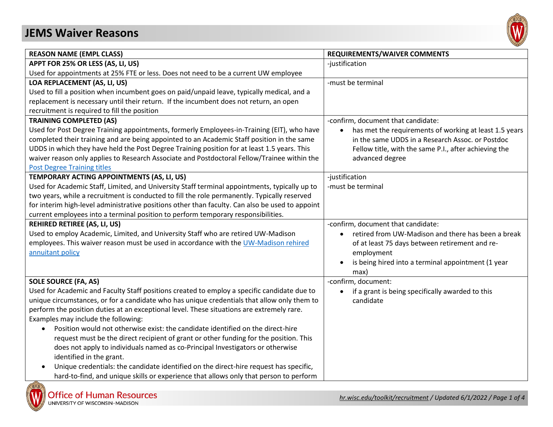## **JEMS Waiver Reasons**



| <b>REASON NAME (EMPL CLASS)</b>                                                                 | <b>REQUIREMENTS/WAIVER COMMENTS</b>                                 |
|-------------------------------------------------------------------------------------------------|---------------------------------------------------------------------|
| APPT FOR 25% OR LESS (AS, LI, US)                                                               | -justification                                                      |
| Used for appointments at 25% FTE or less. Does not need to be a current UW employee             |                                                                     |
| LOA REPLACEMENT (AS, LI, US)                                                                    | -must be terminal                                                   |
| Used to fill a position when incumbent goes on paid/unpaid leave, typically medical, and a      |                                                                     |
| replacement is necessary until their return. If the incumbent does not return, an open          |                                                                     |
| recruitment is required to fill the position                                                    |                                                                     |
| <b>TRAINING COMPLETED (AS)</b>                                                                  | -confirm, document that candidate:                                  |
| Used for Post Degree Training appointments, formerly Employees-in-Training (EIT), who have      | has met the requirements of working at least 1.5 years<br>$\bullet$ |
| completed their training and are being appointed to an Academic Staff position in the same      | in the same UDDS in a Research Assoc. or Postdoc                    |
| UDDS in which they have held the Post Degree Training position for at least 1.5 years. This     | Fellow title, with the same P.I., after achieving the               |
| waiver reason only applies to Research Associate and Postdoctoral Fellow/Trainee within the     | advanced degree                                                     |
| <b>Post Degree Training titles</b>                                                              |                                                                     |
| TEMPORARY ACTING APPOINTMENTS (AS, LI, US)                                                      | -justification                                                      |
| Used for Academic Staff, Limited, and University Staff terminal appointments, typically up to   | -must be terminal                                                   |
| two years, while a recruitment is conducted to fill the role permanently. Typically reserved    |                                                                     |
| for interim high-level administrative positions other than faculty. Can also be used to appoint |                                                                     |
| current employees into a terminal position to perform temporary responsibilities.               |                                                                     |
| <b>REHIRED RETIREE (AS, LI, US)</b>                                                             | -confirm, document that candidate:                                  |
| Used to employ Academic, Limited, and University Staff who are retired UW-Madison               | retired from UW-Madison and there has been a break                  |
| employees. This waiver reason must be used in accordance with the UW-Madison rehired            | of at least 75 days between retirement and re-                      |
| annuitant policy                                                                                | employment                                                          |
|                                                                                                 | is being hired into a terminal appointment (1 year                  |
|                                                                                                 | max)                                                                |
| <b>SOLE SOURCE (FA, AS)</b>                                                                     | -confirm, document:                                                 |
| Used for Academic and Faculty Staff positions created to employ a specific candidate due to     | if a grant is being specifically awarded to this<br>$\bullet$       |
| unique circumstances, or for a candidate who has unique credentials that allow only them to     | candidate                                                           |
| perform the position duties at an exceptional level. These situations are extremely rare.       |                                                                     |
| Examples may include the following:                                                             |                                                                     |
| Position would not otherwise exist: the candidate identified on the direct-hire<br>$\bullet$    |                                                                     |
| request must be the direct recipient of grant or other funding for the position. This           |                                                                     |
| does not apply to individuals named as co-Principal Investigators or otherwise                  |                                                                     |
| identified in the grant.                                                                        |                                                                     |
| Unique credentials: the candidate identified on the direct-hire request has specific,           |                                                                     |
| hard-to-find, and unique skills or experience that allows only that person to perform           |                                                                     |

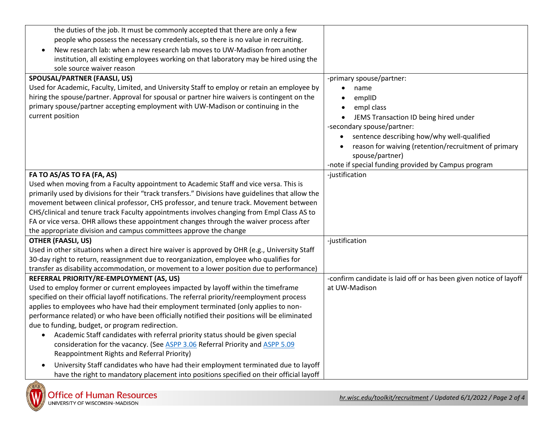| the duties of the job. It must be commonly accepted that there are only a few                     |                                                                   |
|---------------------------------------------------------------------------------------------------|-------------------------------------------------------------------|
| people who possess the necessary credentials, so there is no value in recruiting.                 |                                                                   |
| New research lab: when a new research lab moves to UW-Madison from another<br>$\bullet$           |                                                                   |
| institution, all existing employees working on that laboratory may be hired using the             |                                                                   |
| sole source waiver reason                                                                         |                                                                   |
| <b>SPOUSAL/PARTNER (FAASLI, US)</b>                                                               | -primary spouse/partner:                                          |
| Used for Academic, Faculty, Limited, and University Staff to employ or retain an employee by      | name<br>$\bullet$                                                 |
| hiring the spouse/partner. Approval for spousal or partner hire waivers is contingent on the      | emplID<br>$\bullet$                                               |
| primary spouse/partner accepting employment with UW-Madison or continuing in the                  | empl class<br>$\bullet$                                           |
| current position                                                                                  | JEMS Transaction ID being hired under<br>$\bullet$                |
|                                                                                                   | -secondary spouse/partner:                                        |
|                                                                                                   | sentence describing how/why well-qualified                        |
|                                                                                                   | reason for waiving (retention/recruitment of primary              |
|                                                                                                   | spouse/partner)                                                   |
|                                                                                                   | -note if special funding provided by Campus program               |
| FA TO AS/AS TO FA (FA, AS)                                                                        | -justification                                                    |
| Used when moving from a Faculty appointment to Academic Staff and vice versa. This is             |                                                                   |
| primarily used by divisions for their "track transfers." Divisions have guidelines that allow the |                                                                   |
| movement between clinical professor, CHS professor, and tenure track. Movement between            |                                                                   |
| CHS/clinical and tenure track Faculty appointments involves changing from Empl Class AS to        |                                                                   |
| FA or vice versa. OHR allows these appointment changes through the waiver process after           |                                                                   |
| the appropriate division and campus committees approve the change                                 |                                                                   |
| <b>OTHER (FAASLI, US)</b>                                                                         | -justification                                                    |
| Used in other situations when a direct hire waiver is approved by OHR (e.g., University Staff     |                                                                   |
| 30-day right to return, reassignment due to reorganization, employee who qualifies for            |                                                                   |
| transfer as disability accommodation, or movement to a lower position due to performance)         |                                                                   |
| REFERRAL PRIORITY/RE-EMPLOYMENT (AS, US)                                                          | -confirm candidate is laid off or has been given notice of layoff |
| Used to employ former or current employees impacted by layoff within the timeframe                | at UW-Madison                                                     |
| specified on their official layoff notifications. The referral priority/reemployment process      |                                                                   |
| applies to employees who have had their employment terminated (only applies to non-               |                                                                   |
| performance related) or who have been officially notified their positions will be eliminated      |                                                                   |
| due to funding, budget, or program redirection.                                                   |                                                                   |
| Academic Staff candidates with referral priority status should be given special                   |                                                                   |
| consideration for the vacancy. (See ASPP 3.06 Referral Priority and ASPP 5.09                     |                                                                   |
| Reappointment Rights and Referral Priority)                                                       |                                                                   |
| University Staff candidates who have had their employment terminated due to layoff                |                                                                   |
| have the right to mandatory placement into positions specified on their official layoff           |                                                                   |

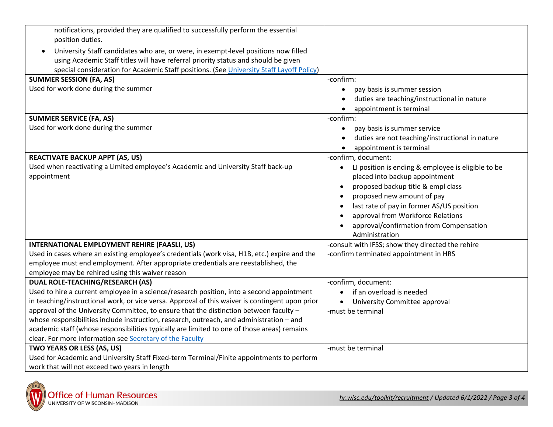| notifications, provided they are qualified to successfully perform the essential<br>position duties. |                                                                 |
|------------------------------------------------------------------------------------------------------|-----------------------------------------------------------------|
| University Staff candidates who are, or were, in exempt-level positions now filled                   |                                                                 |
| using Academic Staff titles will have referral priority status and should be given                   |                                                                 |
| special consideration for Academic Staff positions. (See University Staff Layoff Policy)             |                                                                 |
| <b>SUMMER SESSION (FA, AS)</b>                                                                       | -confirm:                                                       |
| Used for work done during the summer                                                                 |                                                                 |
|                                                                                                      | pay basis is summer session<br>$\bullet$                        |
|                                                                                                      | duties are teaching/instructional in nature                     |
|                                                                                                      | appointment is terminal                                         |
| <b>SUMMER SERVICE (FA, AS)</b>                                                                       | -confirm:                                                       |
| Used for work done during the summer                                                                 | pay basis is summer service<br>$\bullet$                        |
|                                                                                                      | duties are not teaching/instructional in nature                 |
|                                                                                                      | appointment is terminal                                         |
| <b>REACTIVATE BACKUP APPT (AS, US)</b>                                                               | -confirm, document:                                             |
| Used when reactivating a Limited employee's Academic and University Staff back-up                    | LI position is ending & employee is eligible to be<br>$\bullet$ |
| appointment                                                                                          | placed into backup appointment                                  |
|                                                                                                      | proposed backup title & empl class                              |
|                                                                                                      |                                                                 |
|                                                                                                      | proposed new amount of pay                                      |
|                                                                                                      | last rate of pay in former AS/US position                       |
|                                                                                                      | approval from Workforce Relations                               |
|                                                                                                      | approval/confirmation from Compensation                         |
|                                                                                                      | Administration                                                  |
| INTERNATIONAL EMPLOYMENT REHIRE (FAASLI, US)                                                         | -consult with IFSS; show they directed the rehire               |
| Used in cases where an existing employee's credentials (work visa, H1B, etc.) expire and the         | -confirm terminated appointment in HRS                          |
| employee must end employment. After appropriate credentials are reestablished, the                   |                                                                 |
| employee may be rehired using this waiver reason                                                     |                                                                 |
| <b>DUAL ROLE-TEACHING/RESEARCH (AS)</b>                                                              | -confirm, document:                                             |
| Used to hire a current employee in a science/research position, into a second appointment            | if an overload is needed                                        |
| in teaching/instructional work, or vice versa. Approval of this waiver is contingent upon prior      | University Committee approval                                   |
| approval of the University Committee, to ensure that the distinction between faculty -               | -must be terminal                                               |
| whose responsibilities include instruction, research, outreach, and administration - and             |                                                                 |
| academic staff (whose responsibilities typically are limited to one of those areas) remains          |                                                                 |
| clear. For more information see Secretary of the Faculty                                             |                                                                 |
| TWO YEARS OR LESS (AS, US)                                                                           | -must be terminal                                               |
| Used for Academic and University Staff Fixed-term Terminal/Finite appointments to perform            |                                                                 |
| work that will not exceed two years in length                                                        |                                                                 |